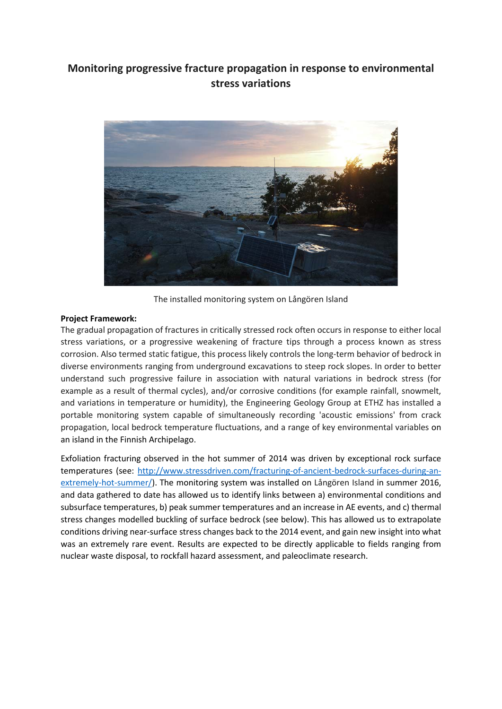## **Monitoring progressive fracture propagation in response to environmental stress variations**



The installed monitoring system on Långören Island

## **Project Framework:**

The gradual propagation of fractures in critically stressed rock often occurs in response to either local stress variations, or a progressive weakening of fracture tips through a process known as stress corrosion. Also termed static fatigue, this process likely controls the long-term behavior of bedrock in diverse environments ranging from underground excavations to steep rock slopes. In order to better understand such progressive failure in association with natural variations in bedrock stress (for example as a result of thermal cycles), and/or corrosive conditions (for example rainfall, snowmelt, and variations in temperature or humidity), the Engineering Geology Group at ETHZ has installed a portable monitoring system capable of simultaneously recording 'acoustic emissions' from crack propagation, local bedrock temperature fluctuations, and a range of key environmental variables on an island in the Finnish Archipelago.

Exfoliation fracturing observed in the hot summer of 2014 was driven by exceptional rock surface temperatures (see: [http://www.stressdriven.com/fracturing-of-ancient-bedrock-surfaces-during-an](http://www.stressdriven.com/fracturing-of-ancient-bedrock-surfaces-during-an-extremely-hot-summer/)[extremely-hot-summer/\)](http://www.stressdriven.com/fracturing-of-ancient-bedrock-surfaces-during-an-extremely-hot-summer/). The monitoring system was installed on Långören Island in summer 2016, and data gathered to date has allowed us to identify links between a) environmental conditions and subsurface temperatures, b) peak summer temperatures and an increase in AE events, and c) thermal stress changes modelled buckling of surface bedrock (see below). This has allowed us to extrapolate conditions driving near-surface stress changes back to the 2014 event, and gain new insight into what was an extremely rare event. Results are expected to be directly applicable to fields ranging from nuclear waste disposal, to rockfall hazard assessment, and paleoclimate research.